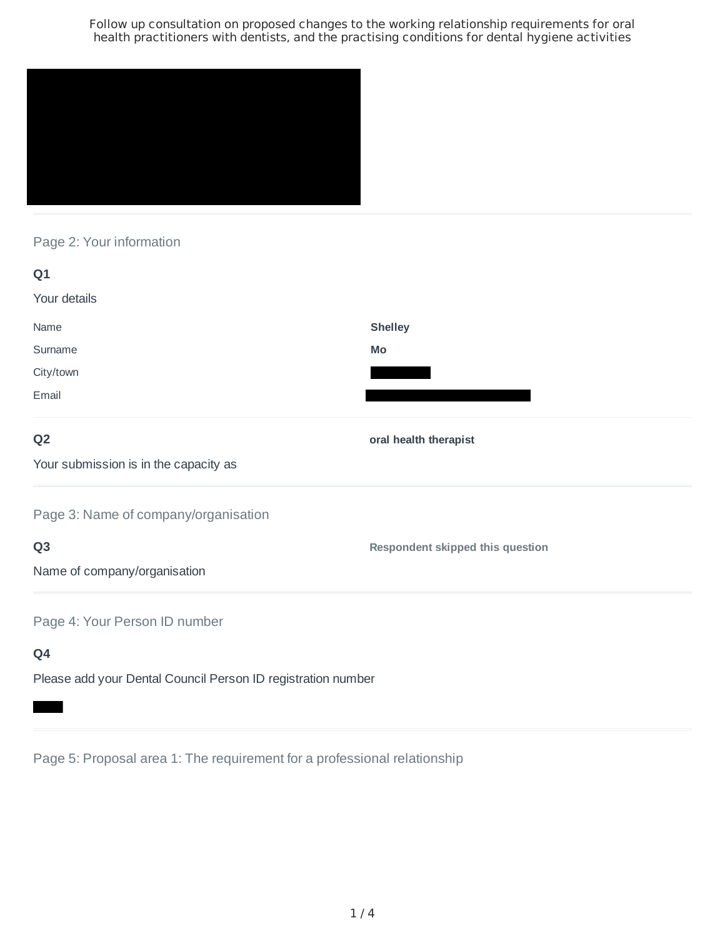

Page 2: Your information

| Q <sub>1</sub>                        |                                         |
|---------------------------------------|-----------------------------------------|
| Your details                          |                                         |
| Name                                  | <b>Shelley</b>                          |
| Surname                               | Mo                                      |
| City/town                             |                                         |
| Email                                 |                                         |
| Q <sub>2</sub>                        | oral health therapist                   |
| Your submission is in the capacity as |                                         |
| Page 3: Name of company/organisation  |                                         |
| Q <sub>3</sub>                        | <b>Respondent skipped this question</b> |
| Name of company/organisation          |                                         |
| Page 4: Your Person ID number         |                                         |
| Q4                                    |                                         |

Please add your Dental Council Person ID registration number

Page 5: Proposal area 1: The requirement for a professional relationship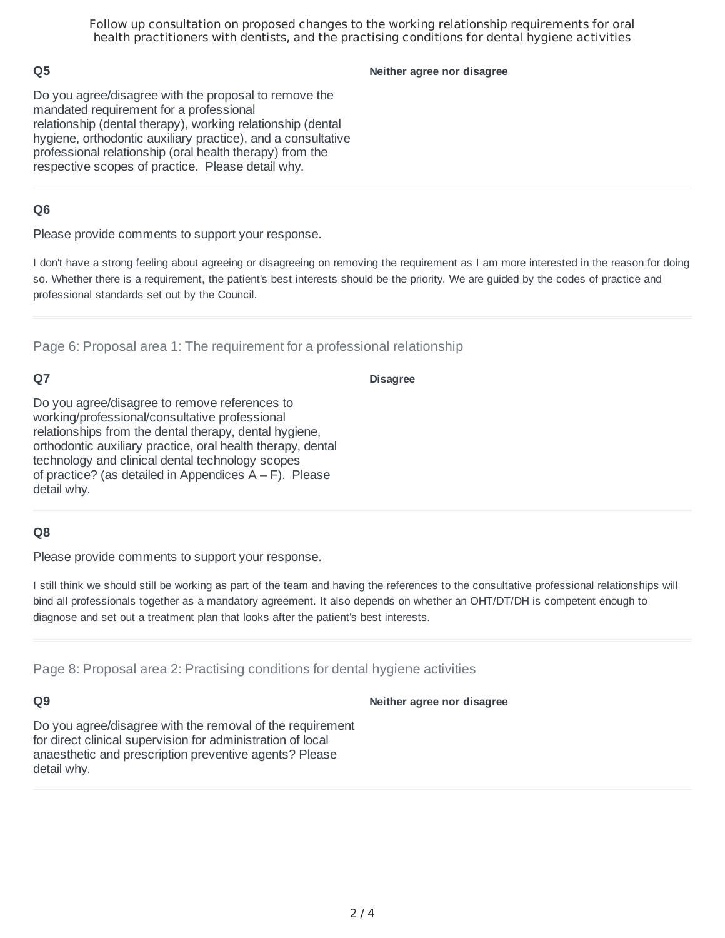## **Q5**

#### **Neither agree nor disagree**

Do you agree/disagree with the proposal to remove the mandated requirement for a professional relationship (dental therapy), working relationship (dental hygiene, orthodontic auxiliary practice), and a consultative professional relationship (oral health therapy) from the respective scopes of practice. Please detail why.

## **Q6**

Please provide comments to support your response.

I don't have a strong feeling about agreeing or disagreeing on removing the requirement as I am more interested in the reason for doing so. Whether there is a requirement, the patient's best interests should be the priority. We are guided by the codes of practice and professional standards set out by the Council.

Page 6: Proposal area 1: The requirement for a professional relationship

# **Q7**

#### **Disagree**

Do you agree/disagree to remove references to working/professional/consultative professional relationships from the dental therapy, dental hygiene, orthodontic auxiliary practice, oral health therapy, dental technology and clinical dental technology scopes of practice? (as detailed in Appendices  $A - F$ ). Please detail why.

#### **Q8**

Please provide comments to support your response.

I still think we should still be working as part of the team and having the references to the consultative professional relationships will bind all professionals together as a mandatory agreement. It also depends on whether an OHT/DT/DH is competent enough to diagnose and set out a treatment plan that looks after the patient's best interests.

Page 8: Proposal area 2: Practising conditions for dental hygiene activities

### **Q9**

#### **Neither agree nor disagree**

Do you agree/disagree with the removal of the requirement for direct clinical supervision for administration of local anaesthetic and prescription preventive agents? Please detail why.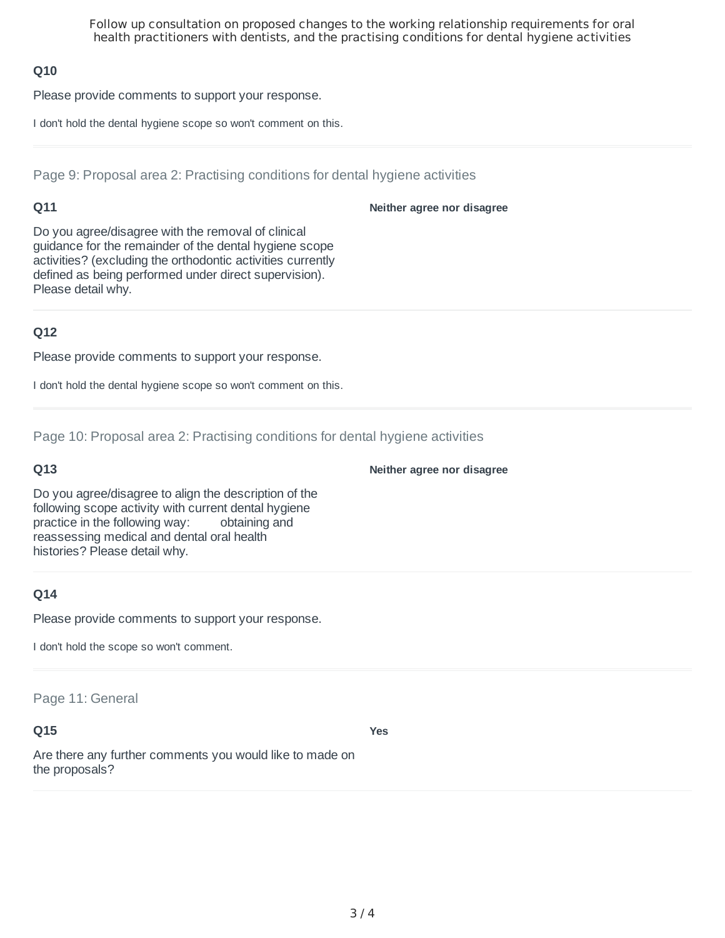### **Q10**

Please provide comments to support your response.

I don't hold the dental hygiene scope so won't comment on this.

Page 9: Proposal area 2: Practising conditions for dental hygiene activities

### **Q11**

**Neither agree nor disagree**

Do you agree/disagree with the removal of clinical guidance for the remainder of the dental hygiene scope activities? (excluding the orthodontic activities currently defined as being performed under direct supervision). Please detail why.

## **Q12**

Please provide comments to support your response.

I don't hold the dental hygiene scope so won't comment on this.

Page 10: Proposal area 2: Practising conditions for dental hygiene activities

#### **Q13**

**Neither agree nor disagree**

Do you agree/disagree to align the description of the following scope activity with current dental hygiene practice in the following way: obtaining and reassessing medical and dental oral health histories? Please detail why.

### **Q14**

Please provide comments to support your response.

I don't hold the scope so won't comment.

Page 11: General

### **Q15**

**Yes**

Are there any further comments you would like to made on the proposals?